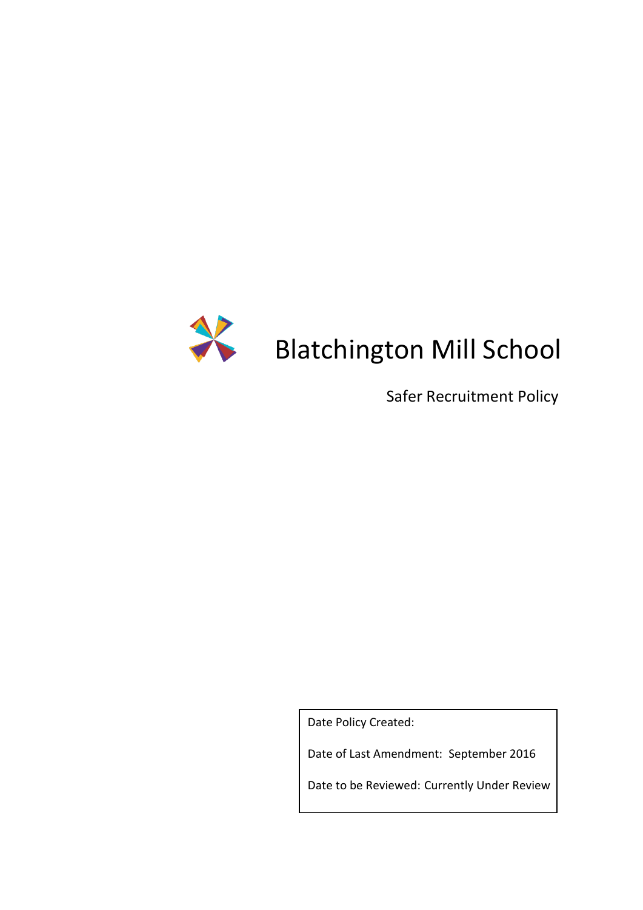

# Supersettington Mill School

Safer Recruitment Policy

Date Policy Created:

Date of Last Amendment: September 2016

Date to be Reviewed: Currently Under Review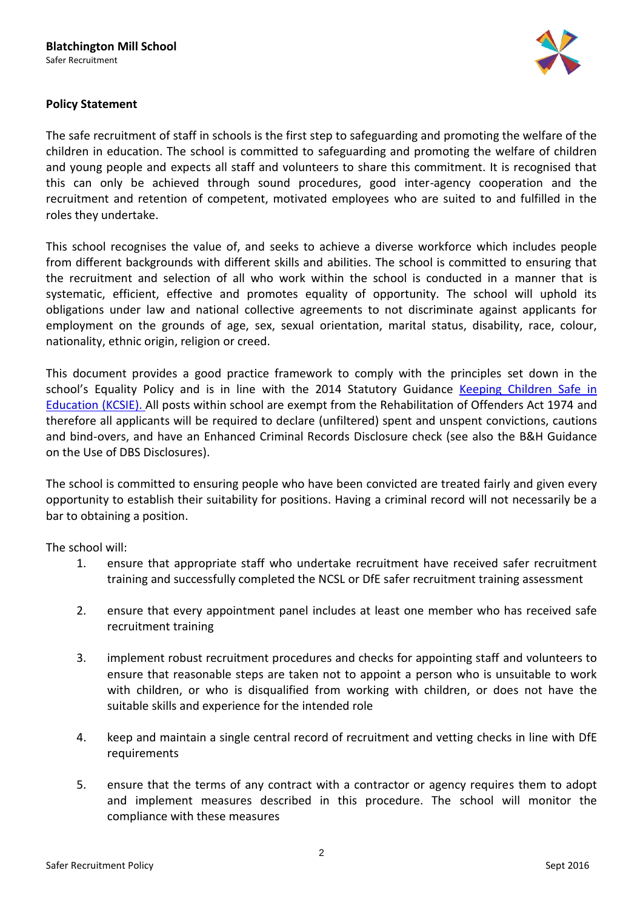

# **Policy Statement**

The safe recruitment of staff in schools is the first step to safeguarding and promoting the welfare of the children in education. The school is committed to safeguarding and promoting the welfare of children and young people and expects all staff and volunteers to share this commitment. It is recognised that this can only be achieved through sound procedures, good inter-agency cooperation and the recruitment and retention of competent, motivated employees who are suited to and fulfilled in the roles they undertake.

This school recognises the value of, and seeks to achieve a diverse workforce which includes people from different backgrounds with different skills and abilities. The school is committed to ensuring that the recruitment and selection of all who work within the school is conducted in a manner that is systematic, efficient, effective and promotes equality of opportunity. The school will uphold its obligations under law and national collective agreements to not discriminate against applicants for employment on the grounds of age, sex, sexual orientation, marital status, disability, race, colour, nationality, ethnic origin, religion or creed.

This document provides a good practice framework to comply with the principles set down in the school's Equality Policy and is in line with the 2014 Statutory Guidance Keeping Children Safe in [Education](https://www.gov.uk/government/publications/keeping-children-safe-in-education--2) (KCSIE). All posts within school are exempt from the Rehabilitation of Offenders Act 1974 and therefore all applicants will be required to declare (unfiltered) spent and unspent convictions, cautions and bind-overs, and have an Enhanced Criminal Records Disclosure check (see also the B&H Guidance on the Use of DBS Disclosures).

The school is committed to ensuring people who have been convicted are treated fairly and given every opportunity to establish their suitability for positions. Having a criminal record will not necessarily be a bar to obtaining a position.

The school will:

- 1. ensure that appropriate staff who undertake recruitment have received safer recruitment training and successfully completed the NCSL or DfE safer recruitment training assessment
- 2. ensure that every appointment panel includes at least one member who has received safe recruitment training
- 3. implement robust recruitment procedures and checks for appointing staff and volunteers to ensure that reasonable steps are taken not to appoint a person who is unsuitable to work with children, or who is disqualified from working with children, or does not have the suitable skills and experience for the intended role
- 4. keep and maintain a single central record of recruitment and vetting checks in line with DfE requirements
- 5. ensure that the terms of any contract with a contractor or agency requires them to adopt and implement measures described in this procedure. The school will monitor the compliance with these measures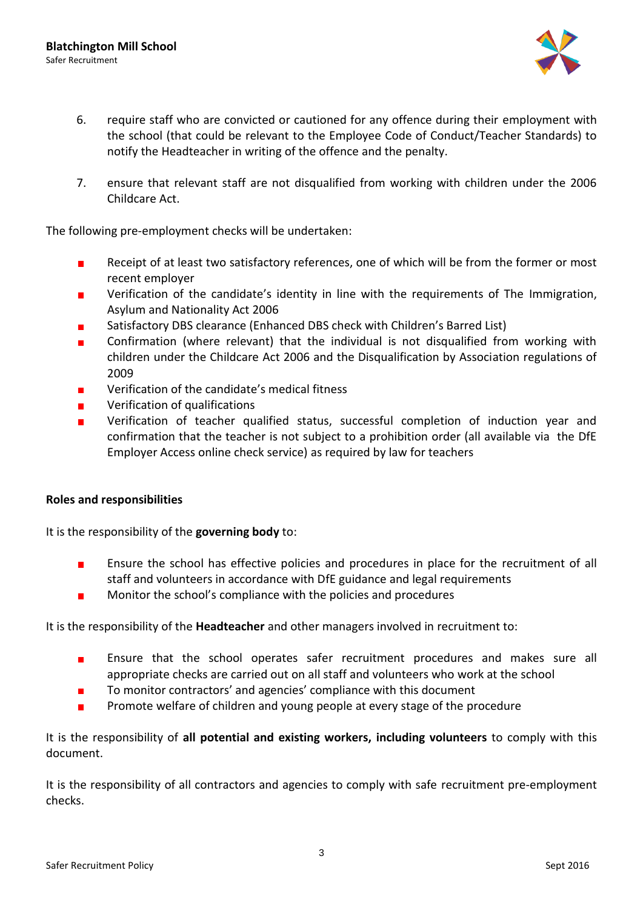

- 6. require staff who are convicted or cautioned for any offence during their employment with the school (that could be relevant to the Employee Code of Conduct/Teacher Standards) to notify the Headteacher in writing of the offence and the penalty.
- 7. ensure that relevant staff are not disqualified from working with children under the 2006 Childcare Act.

The following pre-employment checks will be undertaken:

- Receipt of at least two satisfactory references, one of which will be from the former or most  $\blacksquare$ recent employer
- Verification of the candidate's identity in line with the requirements of The Immigration, Asylum and Nationality Act 2006
- Satisfactory DBS clearance (Enhanced DBS check with Children's Barred List)
- Confirmation (where relevant) that the individual is not disqualified from working with children under the Childcare Act 2006 and the Disqualification by Association regulations of 2009
- Verification of the candidate's medical fitness
- Verification of qualifications  $\blacksquare$
- Verification of teacher qualified status, successful completion of induction year and  $\blacksquare$ confirmation that the teacher is not subject to a prohibition order (all available via the DfE Employer Access online check service) as required by law for teachers

## **Roles and responsibilities**

It is the responsibility of the **governing body** to:

- Ensure the school has effective policies and procedures in place for the recruitment of all  $\blacksquare$ staff and volunteers in accordance with DfE guidance and legal requirements
- Monitor the school's compliance with the policies and procedures  $\blacksquare$

It is the responsibility of the **Headteacher** and other managers involved in recruitment to:

- $\blacksquare$ Ensure that the school operates safer recruitment procedures and makes sure all appropriate checks are carried out on all staff and volunteers who work at the school
- To monitor contractors' and agencies' compliance with this document  $\blacksquare$
- Promote welfare of children and young people at every stage of the procedure  $\blacksquare$

It is the responsibility of **all potential and existing workers, including volunteers** to comply with this document.

It is the responsibility of all contractors and agencies to comply with safe recruitment pre-employment checks.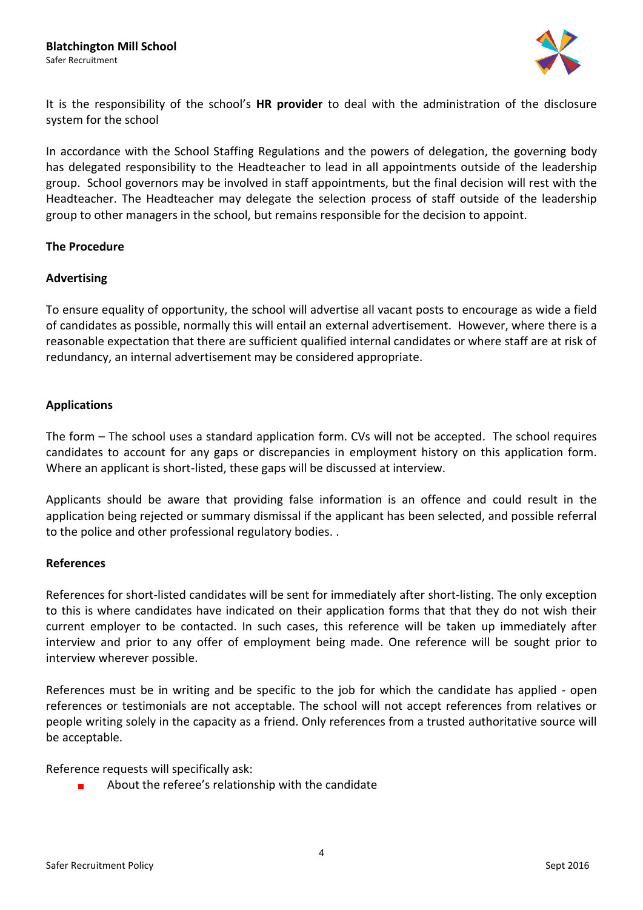

It is the responsibility of the school's **HR provider** to deal with the administration of the disclosure system for the school

In accordance with the School Staffing Regulations and the powers of delegation, the governing body has delegated responsibility to the Headteacher to lead in all appointments outside of the leadership group. School governors may be involved in staff appointments, but the final decision will rest with the Headteacher. The Headteacher may delegate the selection process of staff outside of the leadership group to other managers in the school, but remains responsible for the decision to appoint.

## **The Procedure**

## **Advertising**

To ensure equality of opportunity, the school will advertise all vacant posts to encourage as wide a field of candidates as possible, normally this will entail an external advertisement. However, where there is a reasonable expectation that there are sufficient qualified internal candidates or where staff are at risk of redundancy, an internal advertisement may be considered appropriate.

## **Applications**

The form – The school uses a standard application form. CVs will not be accepted. The school requires candidates to account for any gaps or discrepancies in employment history on this application form. Where an applicant is short-listed, these gaps will be discussed at interview.

Applicants should be aware that providing false information is an offence and could result in the application being rejected or summary dismissal if the applicant has been selected, and possible referral to the police and other professional regulatory bodies. .

## **References**

References for short-listed candidates will be sent for immediately after short-listing. The only exception to this is where candidates have indicated on their application forms that that they do not wish their current employer to be contacted. In such cases, this reference will be taken up immediately after interview and prior to any offer of employment being made. One reference will be sought prior to interview wherever possible.

References must be in writing and be specific to the job for which the candidate has applied - open references or testimonials are not acceptable. The school will not accept references from relatives or people writing solely in the capacity as a friend. Only references from a trusted authoritative source will be acceptable.

Reference requests will specifically ask:

About the referee's relationship with the candidate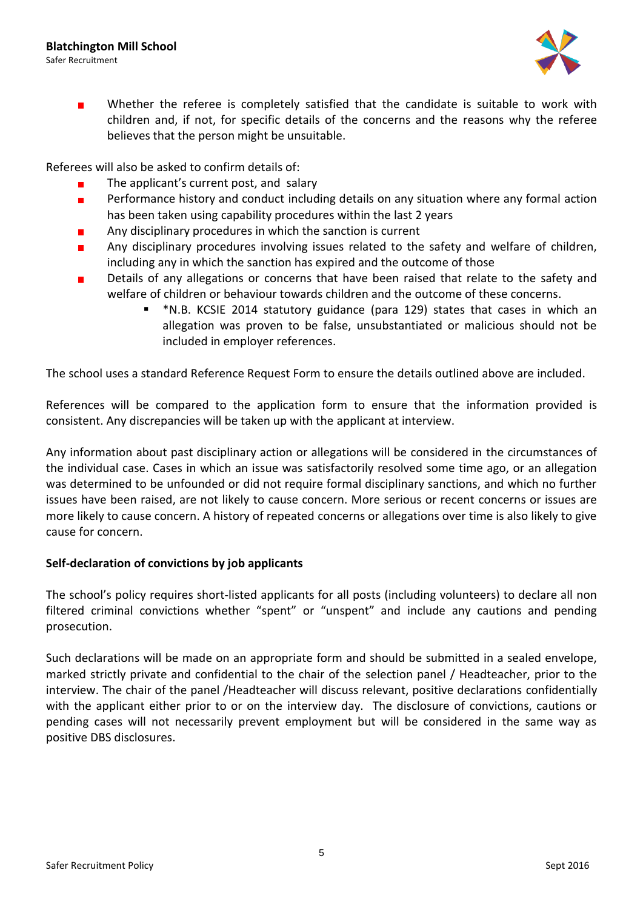

Whether the referee is completely satisfied that the candidate is suitable to work with  $\blacksquare$ children and, if not, for specific details of the concerns and the reasons why the referee believes that the person might be unsuitable.

Referees will also be asked to confirm details of:

- The applicant's current post, and salary
- Performance history and conduct including details on any situation where any formal action  $\blacksquare$ has been taken using capability procedures within the last 2 years
- Any disciplinary procedures in which the sanction is current
- Any disciplinary procedures involving issues related to the safety and welfare of children,  $\blacksquare$ including any in which the sanction has expired and the outcome of those
- Details of any allegations or concerns that have been raised that relate to the safety and  $\blacksquare$ welfare of children or behaviour towards children and the outcome of these concerns.
	- \*N.B. KCSIE 2014 statutory guidance (para 129) states that cases in which an allegation was proven to be false, unsubstantiated or malicious should not be included in employer references.

The school uses a standard Reference Request Form to ensure the details outlined above are included.

References will be compared to the application form to ensure that the information provided is consistent. Any discrepancies will be taken up with the applicant at interview.

Any information about past disciplinary action or allegations will be considered in the circumstances of the individual case. Cases in which an issue was satisfactorily resolved some time ago, or an allegation was determined to be unfounded or did not require formal disciplinary sanctions, and which no further issues have been raised, are not likely to cause concern. More serious or recent concerns or issues are more likely to cause concern. A history of repeated concerns or allegations over time is also likely to give cause for concern.

# **Self-declaration of convictions by job applicants**

The school's policy requires short-listed applicants for all posts (including volunteers) to declare all non filtered criminal convictions whether "spent" or "unspent" and include any cautions and pending prosecution.

Such declarations will be made on an appropriate form and should be submitted in a sealed envelope, marked strictly private and confidential to the chair of the selection panel / Headteacher, prior to the interview. The chair of the panel /Headteacher will discuss relevant, positive declarations confidentially with the applicant either prior to or on the interview day. The disclosure of convictions, cautions or pending cases will not necessarily prevent employment but will be considered in the same way as positive DBS disclosures.

5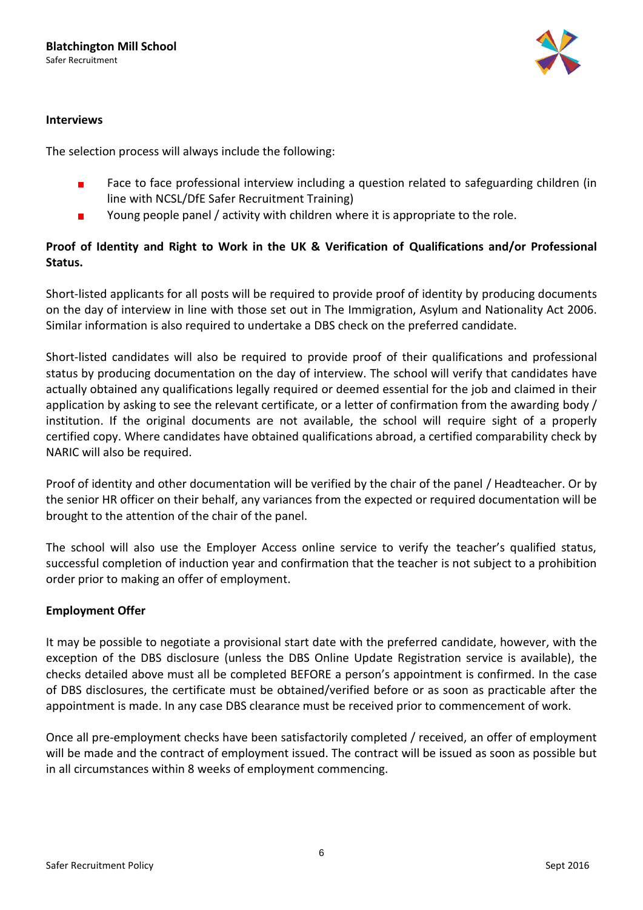

## **Interviews**

The selection process will always include the following:

- Face to face professional interview including a question related to safeguarding children (in  $\blacksquare$ line with NCSL/DfE Safer Recruitment Training)
- Young people panel / activity with children where it is appropriate to the role.  $\blacksquare$

# **Proof of Identity and Right to Work in the UK & Verification of Qualifications and/or Professional Status.**

Short-listed applicants for all posts will be required to provide proof of identity by producing documents on the day of interview in line with those set out in The Immigration, Asylum and Nationality Act 2006. Similar information is also required to undertake a DBS check on the preferred candidate.

Short-listed candidates will also be required to provide proof of their qualifications and professional status by producing documentation on the day of interview. The school will verify that candidates have actually obtained any qualifications legally required or deemed essential for the job and claimed in their application by asking to see the relevant certificate, or a letter of confirmation from the awarding body / institution. If the original documents are not available, the school will require sight of a properly certified copy. Where candidates have obtained qualifications abroad, a certified comparability check by NARIC will also be required.

Proof of identity and other documentation will be verified by the chair of the panel / Headteacher. Or by the senior HR officer on their behalf, any variances from the expected or required documentation will be brought to the attention of the chair of the panel.

The school will also use the Employer Access online service to verify the teacher's qualified status, successful completion of induction year and confirmation that the teacher is not subject to a prohibition order prior to making an offer of employment.

# **Employment Offer**

It may be possible to negotiate a provisional start date with the preferred candidate, however, with the exception of the DBS disclosure (unless the DBS Online Update Registration service is available), the checks detailed above must all be completed BEFORE a person's appointment is confirmed. In the case of DBS disclosures, the certificate must be obtained/verified before or as soon as practicable after the appointment is made. In any case DBS clearance must be received prior to commencement of work.

Once all pre-employment checks have been satisfactorily completed / received, an offer of employment will be made and the contract of employment issued. The contract will be issued as soon as possible but in all circumstances within 8 weeks of employment commencing.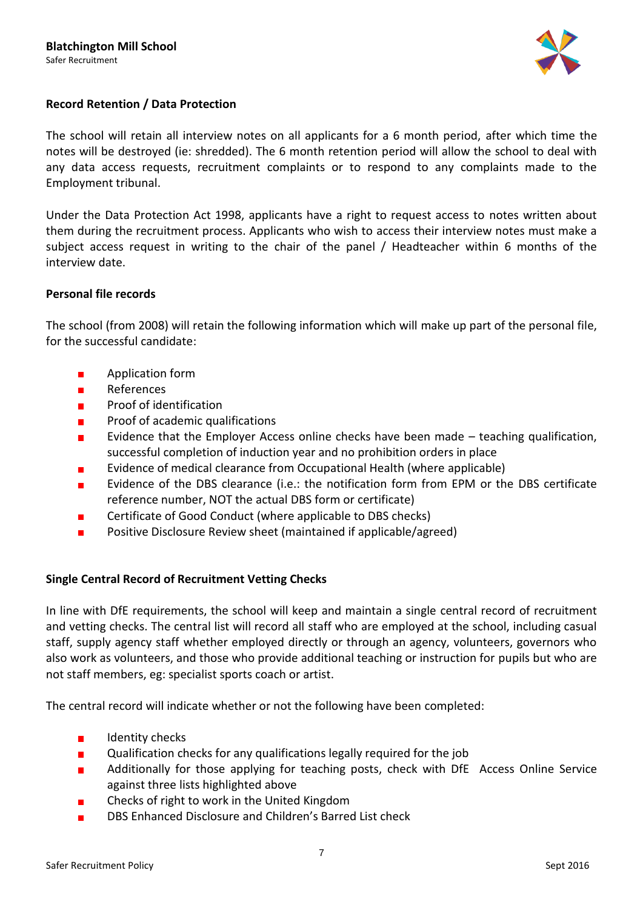

# **Record Retention / Data Protection**

The school will retain all interview notes on all applicants for a 6 month period, after which time the notes will be destroyed (ie: shredded). The 6 month retention period will allow the school to deal with any data access requests, recruitment complaints or to respond to any complaints made to the Employment tribunal.

Under the Data Protection Act 1998, applicants have a right to request access to notes written about them during the recruitment process. Applicants who wish to access their interview notes must make a subject access request in writing to the chair of the panel / Headteacher within 6 months of the interview date.

## **Personal file records**

The school (from 2008) will retain the following information which will make up part of the personal file, for the successful candidate:

- Application form  $\blacksquare$
- References  $\blacksquare$
- Proof of identification  $\blacksquare$
- Proof of academic qualifications  $\blacksquare$
- Evidence that the Employer Access online checks have been made teaching qualification,  $\blacksquare$ successful completion of induction year and no prohibition orders in place
- Evidence of medical clearance from Occupational Health (where applicable)
- Evidence of the DBS clearance (i.e.: the notification form from EPM or the DBS certificate  $\blacksquare$ reference number, NOT the actual DBS form or certificate)
- Certificate of Good Conduct (where applicable to DBS checks)
- Positive Disclosure Review sheet (maintained if applicable/agreed)  $\blacksquare$

## **Single Central Record of Recruitment Vetting Checks**

In line with DfE requirements, the school will keep and maintain a single central record of recruitment and vetting checks. The central list will record all staff who are employed at the school, including casual staff, supply agency staff whether employed directly or through an agency, volunteers, governors who also work as volunteers, and those who provide additional teaching or instruction for pupils but who are not staff members, eg: specialist sports coach or artist.

The central record will indicate whether or not the following have been completed:

- $\blacksquare$ Identity checks
- Qualification checks for any qualifications legally required for the job  $\blacksquare$
- Additionally for those applying for teaching posts, check with DfE Access Online Service п against three lists highlighted above
- Checks of right to work in the United Kingdom
- DBS Enhanced Disclosure and Children's Barred List check $\blacksquare$